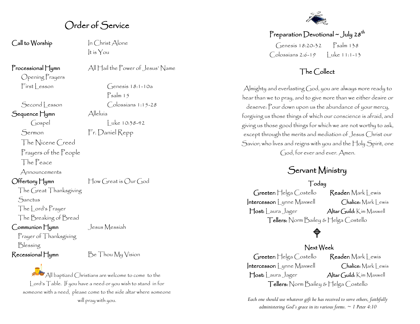#### Order of Service

Call to Worship In Christ Alone

Opening Prayers

Sequence Hymn Alleluía

Sermon Fr. Daniel Repp

The Nicene Creed

Prayers of the People

The Peace

Announcements

Offertory Hymn How Great is Our God

The Great Thanksgiving **Sanctus** The Lord's Prayer

The Breaking of Bread

Communion Hymn Jesus Messiah

Prayer of Thanksgiving Blessing

It is You

Processional Hymn All Hail the Power of Jesus' Name

 $First|$  esson  $Genes18:1-10a$ Psalm 15 Second Lesson Colossians 1:15-28  $\int \csc(10.38-42)$ 

 $\mathsf{Recessional}$  Hymn  $\mathsf{Be}$  Thou  $\mathsf{MyV}$  ision

All baptized Christians are welcome to come to the Lord's Table. If you have a need or you wish to stand in for someone with a need, please come to the side altar where someone will pray with you.



Preparation Devotional ~ July 28<sup>th</sup>  $G$ enesis 18:20-32 Psalm 138  $\bigcap$ olossians 2:6-19  $\bigcup$ uke 11:1-13

#### The Collect

Almighty and everlasting God, you are always more ready to hear than we to pray, and to give more than we either desire or deserve: Pour down upon us the abundance of your mercy, forgiving us those things of which our conscience is afraid, and giving us those good things for which we are not worthy to ask, except through the merits and mediation of Jesus Christ our Savior; who lives and reigns with you and the Holy Spirit, one God, for ever and ever. Amen.

### Servant Ministry

#### Today

Greeter: Helga Costello Reader: Mark Lewis Intercessor: Lynne Maxwell Chalice: Mark Lewis Host: Laura Jager Altar Guild: Kim Maxwell Tellers: Norm Bailey & Helga Costello

## ♦

#### Next Week

Greeter: Helga Costello Reader: Mark Lewis Intercessor: Lynne Maxwell Chalice: Mark Lewis Host: Laura Jager Altar Guild: Kim Maxwell Tellers: Norm Bailey & Helga Costello

*Each one should use whatever gift he has received to serve others, faithfully administering God's grace in its various forms. ~ 1 Peter 4:10*